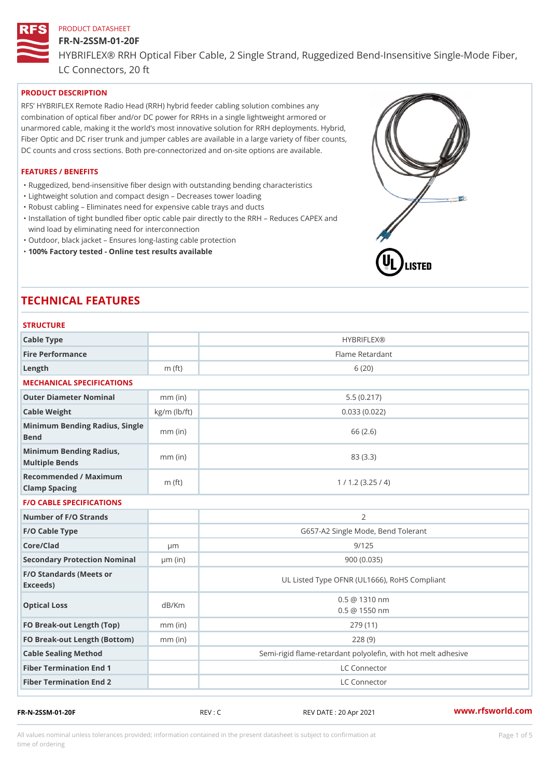#### FR-N-2SSM-01-20F

HYBRIFLEX® RRH Optical Fiber Cable, 2 Single Strand, Ruggedized Be

LC Connectors, 20 ft

# PRODUCT DESCRIPTION

RFS HYBRIFLEX Remote Radio Head (RRH) hybrid feeder cabling solution combines any combination of optical fiber and/or DC power for RRHs in a single lightweight armored or unarmored cable, making it the world s most innovative solution for RRH deployments. Hybrid, Fiber Optic and DC riser trunk and jumper cables are available in a large variety of fiber counts, DC counts and cross sections. Both pre-connectorized and on-site options are available.

#### FEATURES / BENEFITS

"Ruggedized, bend-insensitive fiber design with outstanding bending characteristics

- "Lightweight solution and compact design Decreases tower loading
- "Robust cabling Eliminates need for expensive cable trays and ducts
- "Installation of tight bundled fiber optic cable pair directly to the RRH Aeduces CAPEX and wind load by eliminating need for interconnection
- "Outdoor, black jacket Ensures long-lasting cable protection
- "100% Factory tested Online test results available

# TECHNICAL FEATURES

| <b>STRUCTURE</b>                                  |                    |                                                          |  |  |  |
|---------------------------------------------------|--------------------|----------------------------------------------------------|--|--|--|
| Cable Type                                        |                    | <b>HYBRIFLEX®</b>                                        |  |  |  |
| Fire Performance                                  |                    | Flame Retardant                                          |  |  |  |
| Length                                            | $m$ (ft)           | 6(20)                                                    |  |  |  |
| MECHANICAL SPECIFICATIONS                         |                    |                                                          |  |  |  |
| Outer Diameter Nominal                            | $mm$ (in)          | 5.5(0.217)                                               |  |  |  |
| Cable Weight                                      | $kg/m$ ( $lb/ft$ ) | 0.033(0.022)                                             |  |  |  |
| Minimum Bending Radius, Single<br>Bend            |                    | 66 (2.6)                                                 |  |  |  |
| Minimum Bending Radius, mm (in)<br>Multiple Bends |                    | 83 (3.3)                                                 |  |  |  |
| Recommended / Maximum<br>Clamp Spacing            | $m$ (ft)           | 1 / 1.2 (3.25 / 4)                                       |  |  |  |
| <b>F/O CABLE SPECIFICATIONS</b>                   |                    |                                                          |  |  |  |
| Number of F/O Strands                             |                    | 2                                                        |  |  |  |
| F/O Cable Type                                    |                    | G657-A2 Single Mode, Bend Tolerant                       |  |  |  |
| Core/Clad                                         | $\mu$ m            | 9/125                                                    |  |  |  |
| Secondary Protection Nomimal(in)                  |                    | 900 (0.035)                                              |  |  |  |
| F/O Standards (Meets or<br>Exceeds)               |                    | UL Listed Type OFNR (UL1666), RoHS Compliant             |  |  |  |
| dB/Km<br>Optical Loss                             |                    | $0.5 \ @ \ 1310 \ nm$<br>$0.5 \t@ 1550 nm$               |  |  |  |
| FO Break-out Length (Top)mm (in)                  |                    | 279 (11)                                                 |  |  |  |
| FO Break-out Length (Bottomm) (in)                |                    | 228(9)                                                   |  |  |  |
| Cable Sealing Method                              |                    | Semi-rigid flame-retardant polyolefin, with hot melt adl |  |  |  |
| Fiber Termination End                             |                    | LC Connector                                             |  |  |  |
| Fiber Termination End 2                           |                    | LC Connector                                             |  |  |  |

FR-N-2SSM-01-20F REV : C REV DATE : 20 Apr 2021 [www.](https://www.rfsworld.com)rfsworld.com

All values nominal unless tolerances provided; information contained in the present datasheet is subject to Pcapgeight Stid time of ordering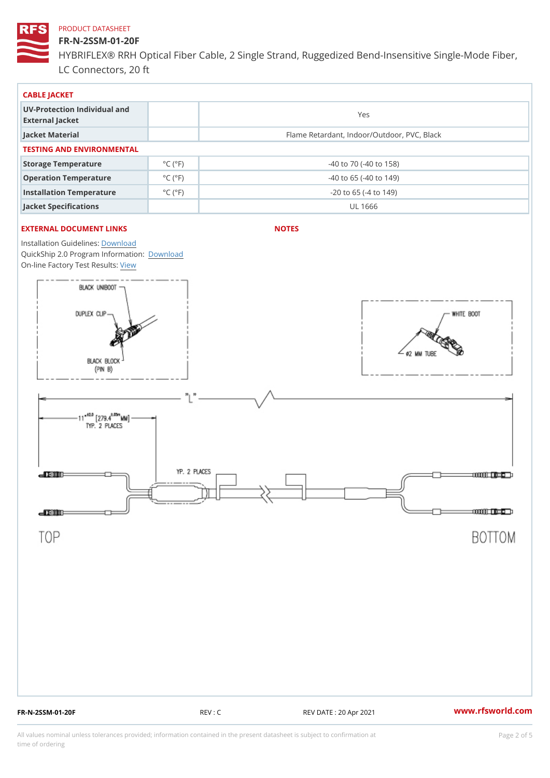# FR-N-2SSM-01-20F

HYBRIFLEX® RRH Optical Fiber Cable, 2 Single Strand, Ruggedized Be LC Connectors, 20 ft

| CABLE JACKET                                    |                             |                                             |  |  |  |  |
|-------------------------------------------------|-----------------------------|---------------------------------------------|--|--|--|--|
| UV-Protection Individual and<br>External Jacket |                             | Yes                                         |  |  |  |  |
| Jacket Material                                 |                             | Flame Retardant, Indoor/Outdoor, PVC, Black |  |  |  |  |
| TESTING AND ENVIRONMENTAL                       |                             |                                             |  |  |  |  |
| Storage Temperature                             | $^{\circ}$ C ( $^{\circ}$ F | $-40$ to $70$ ( $-40$ to $158$ )            |  |  |  |  |
| Operation Temperature                           | $^{\circ}$ C ( $^{\circ}$ F | $-40$ to 65 ( $-40$ to 149)                 |  |  |  |  |
| Installation Temperature                        | $^{\circ}$ C ( $^{\circ}$ F | $-20$ to 65 ( $-4$ to 149)                  |  |  |  |  |
| Jacket Specifications                           |                             | UL 1666                                     |  |  |  |  |

# EXTERNAL DOCUMENT LINKS

NOTES

Installation Guidelwinessad QuickShip 2.0 Program [Informa](http://www.rfsworld.com/images/hybriflex/quickship_program_2.pdf)tion: On-line Factory Te[s](https://www.rfsworld.com/pictures/userfiles/programs/AAST Latest Version.zip)teResults:

FR-N-2SSM-01-20F REV : C REV DATE : 20 Apr 2021 [www.](https://www.rfsworld.com)rfsworld.com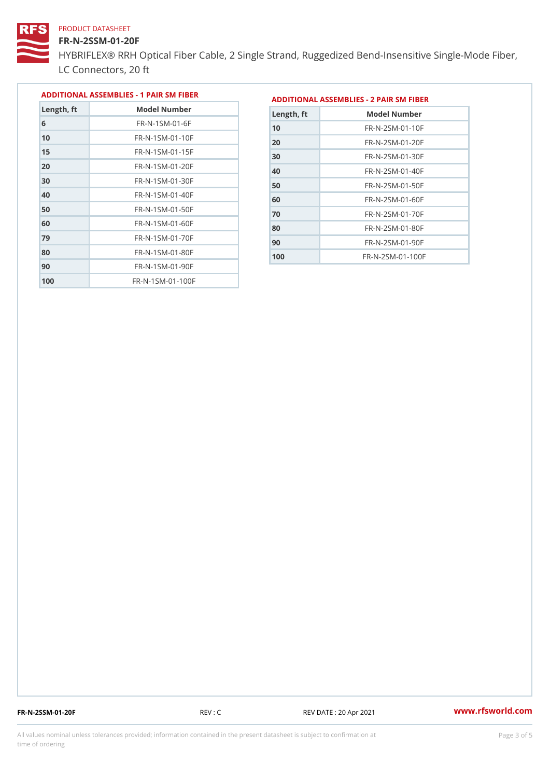#### FR-N-2SSM-01-20F

HYBRIFLEX® RRH Optical Fiber Cable, 2 Single Strand, Ruggedized Be LC Connectors, 20 ft

|            |                | ADDITIONAL ASSEMBLIES - 1 PAIR SM FIBERDDITIONAL ASSEMBLIES - 2 PAIR SM FIBER |  |
|------------|----------------|-------------------------------------------------------------------------------|--|
| Length, ft | Model Number   | $L$ ength, ft<br>Model Number                                                 |  |
|            | FR-N-1SM-01-6F | $FR - N - 2 SM - 01 - 10 F$                                                   |  |

| 6   | FR-N-15M-01-6F                |
|-----|-------------------------------|
| 10  | FR-N-1SM-01-10F               |
| 15  | FR-N-1SM-01-15F               |
| 20  | FR-N-1SM-01-20F               |
| 30  | FR-N-1SM-01-30F               |
| 40  | FR-N-1SM-01-40F               |
| 50  | FR-N-1SM-01-50F               |
| 60  | $FR - N - 1$ S M - 01 - 60 F  |
| 79  | FR-N-1SM-01-70F               |
| 80  | $FR - N - 1$ S M - 01 - 80 F  |
| 90  | FR-N-1SM-01-90F               |
| 100 | $FR - N - 1$ S M - 01 - 100 F |
|     |                               |

| Length, ft | Model Number                |
|------------|-----------------------------|
| 10         | $FR - N - 2 SM - 01 - 10 F$ |
| 20         | FR-N-2 SM-01-20 F           |
| 30         | FR-N-2SM-01-30F             |
| 40         | FR-N-2SM-01-40F             |
| 50         | FR-N-2SM-01-50F             |
| 60         | FR-N-2 SM-01-60F            |
| 70         | FR-N-2SM-01-70F             |
| 80         | $FR - N - 2 SM - 01 - 80 F$ |
| 90         | FR-N-2SM-01-90F             |
| 100        | FR-N-2SM-01-100F            |

FR-N-2SSM-01-20F REV : C REV DATE : 20 Apr 2021 [www.](https://www.rfsworld.com)rfsworld.com

All values nominal unless tolerances provided; information contained in the present datasheet is subject to Pcapgeling that i time of ordering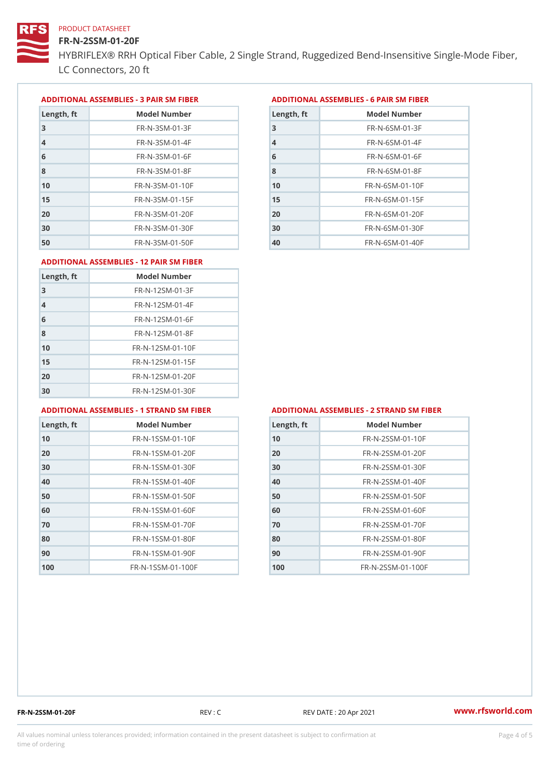# FR-N-2SSM-01-20F

HYBRIFLEX® RRH Optical Fiber Cable, 2 Single Strand, Ruggedized Be LC Connectors, 20 ft

ADDITIONAL ASSEMBLIES - 3 PAIR SM FIBERED DITIONAL ASSEMBLIES - 6 PAIR SM FIBER

| Length, ft     | Model Number                 |
|----------------|------------------------------|
| 3              | $FR - N - 3 S M - 01 - 3 F$  |
| $\overline{4}$ | $FR - N - 3 S M - 01 - 4 F$  |
| 6              | $FR - N - 3 S M - 01 - 6 F$  |
| 8              | $FR - N - 3 S M - 01 - 8 F$  |
| 10             | $FR - N - 3 S M - 01 - 10 F$ |
| 15             | $FR - N - 3 S M - 01 - 15 F$ |
| 20             | $FR - N - 3 S M - 01 - 20 F$ |
| 30             | $FR - N - 3 S M - 01 - 30 F$ |
| 50             | $FR - N - 3 S M - 01 - 50 F$ |

| Model Number<br>Length, ft   |
|------------------------------|
| $FR - N - 6 S M - 01 - 3 F$  |
| $FR - N - 6$ S M - 01 - 4 F  |
| $FR - N - 6 S M - 01 - 6 F$  |
| $FR - N - 6$ S M - 01 - 8 F  |
| $FR - N - 6 SM - 01 - 10 F$  |
| $FR - N - 6 SM - 01 - 15 F$  |
| $FR - N - 6 S M - 01 - 20 F$ |
| $FR - N - 6 SM - 01 - 30 F$  |
| $FR - N - 6 S M - 01 - 40 F$ |
|                              |

#### ADDITIONAL ASSEMBLIES - 12 PAIR SM FIBER

| Length, ft     | Model Number                 |
|----------------|------------------------------|
| 3              | $FR - N - 12SM - 01 - 3F$    |
| $\overline{4}$ | $FR - N - 12SM - 01 - 4F$    |
| 6              | $FR - N - 12$ S M - 01 - 6 F |
| 8              | $FR - N - 12$ S M - 01 - 8 F |
| 10             | FR-N-12SM-01-10F             |
| 15             | FR-N-12SM-01-15F             |
| 20             | FR-N-12SM-01-20F             |
| 30             | FR-N-12SM-01-30F             |

#### ADDITIONAL ASSEMBLIES - 1 STRAND SM FABSDRTIONAL ASSEMBLIES - 2 STRAND SM FIBER

| Length, ft | Model Number                   |
|------------|--------------------------------|
| 10         | $FR - N - 1$ S S M - 01 - 10 F |
| 20         | $FR - N - 1$ S S M - 01 - 20 F |
| 30         | $FR - N - 1$ S S M - 01 - 30 F |
| 40         | $FR - N - 1$ S S M - 01 - 40 F |
| 50         | $FR - N - 1$ S S M - 01 - 50 F |
| 60         | $FR - N - 1$ S S M - 01 - 60 F |
| 70         | $FR - N - 1$ S S M - 01 - 70 F |
| 80         | $FR - N - 1$ S S M - 01 - 80 F |
| 90         | $FR - N - 1$ S S M - 01 - 90 F |
| 100        | FR-N-1SSM-01-100F              |

| Length, ft | Model Number                   |
|------------|--------------------------------|
| 10         | $FR - N - 2 S S M - 01 - 10 F$ |
| 20         | FR-N-2SSM-01-20F               |
| 30         | FR-N-2SSM-01-30F               |
| 40         | FR-N-2SSM-01-40F               |
| 50         | FR-N-2SSM-01-50F               |
| 60         | FR-N-2SSM-01-60F               |
| 70         | FR-N-2SSM-01-70F               |
| 80         | FR-N-2SSM-01-80F               |
| 90         | FR-N-2SSM-01-90F               |
| 100        | FR-N-2SSM-01-100F              |

FR-N-2SSM-01-20F REV : C REV DATE : 20 Apr 2021 [www.](https://www.rfsworld.com)rfsworld.com

All values nominal unless tolerances provided; information contained in the present datasheet is subject to Pcapgnéig4m ssti time of ordering